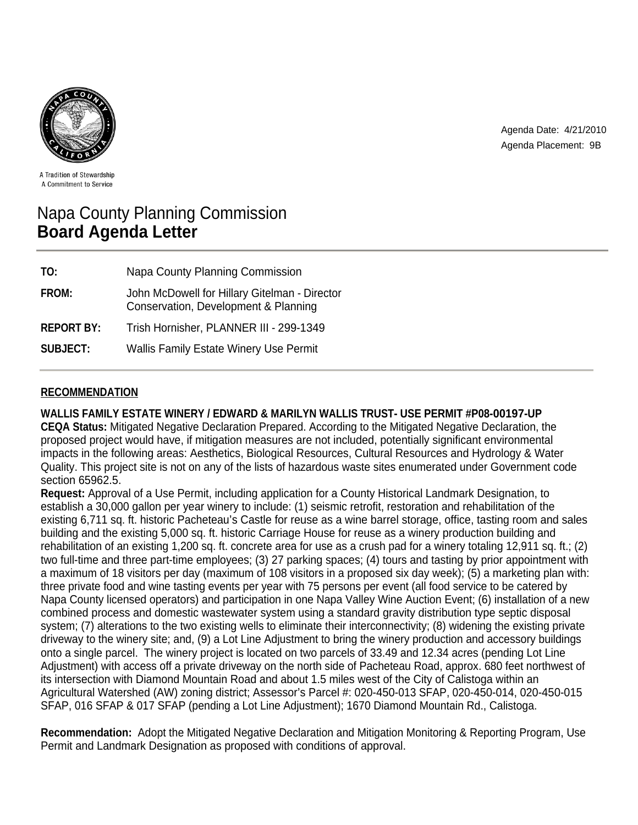

Agenda Date: 4/21/2010 Agenda Placement: 9B

A Tradition of Stewardship A Commitment to Service

# Napa County Planning Commission **Board Agenda Letter**

| TO:               | Napa County Planning Commission                                                       |
|-------------------|---------------------------------------------------------------------------------------|
| FROM:             | John McDowell for Hillary Gitelman - Director<br>Conservation, Development & Planning |
| <b>REPORT BY:</b> | Trish Hornisher, PLANNER III - 299-1349                                               |
| <b>SUBJECT:</b>   | <b>Wallis Family Estate Winery Use Permit</b>                                         |

# **RECOMMENDATION**

**WALLIS FAMILY ESTATE WINERY / EDWARD & MARILYN WALLIS TRUST- USE PERMIT #P08-00197-UP CEQA Status:** Mitigated Negative Declaration Prepared. According to the Mitigated Negative Declaration, the proposed project would have, if mitigation measures are not included, potentially significant environmental impacts in the following areas: Aesthetics, Biological Resources, Cultural Resources and Hydrology & Water Quality. This project site is not on any of the lists of hazardous waste sites enumerated under Government code section 65962.5.

**Request:** Approval of a Use Permit, including application for a County Historical Landmark Designation, to establish a 30,000 gallon per year winery to include: (1) seismic retrofit, restoration and rehabilitation of the existing 6,711 sq. ft. historic Pacheteau's Castle for reuse as a wine barrel storage, office, tasting room and sales building and the existing 5,000 sq. ft. historic Carriage House for reuse as a winery production building and rehabilitation of an existing 1,200 sq. ft. concrete area for use as a crush pad for a winery totaling 12,911 sq. ft.; (2) two full-time and three part-time employees; (3) 27 parking spaces; (4) tours and tasting by prior appointment with a maximum of 18 visitors per day (maximum of 108 visitors in a proposed six day week); (5) a marketing plan with: three private food and wine tasting events per year with 75 persons per event (all food service to be catered by Napa County licensed operators) and participation in one Napa Valley Wine Auction Event; (6) installation of a new combined process and domestic wastewater system using a standard gravity distribution type septic disposal system; (7) alterations to the two existing wells to eliminate their interconnectivity; (8) widening the existing private driveway to the winery site; and, (9) a Lot Line Adjustment to bring the winery production and accessory buildings onto a single parcel. The winery project is located on two parcels of 33.49 and 12.34 acres (pending Lot Line Adjustment) with access off a private driveway on the north side of Pacheteau Road, approx. 680 feet northwest of its intersection with Diamond Mountain Road and about 1.5 miles west of the City of Calistoga within an Agricultural Watershed (AW) zoning district; Assessor's Parcel #: 020-450-013 SFAP, 020-450-014, 020-450-015 SFAP, 016 SFAP & 017 SFAP (pending a Lot Line Adjustment); 1670 Diamond Mountain Rd., Calistoga.

**Recommendation:** Adopt the Mitigated Negative Declaration and Mitigation Monitoring & Reporting Program, Use Permit and Landmark Designation as proposed with conditions of approval.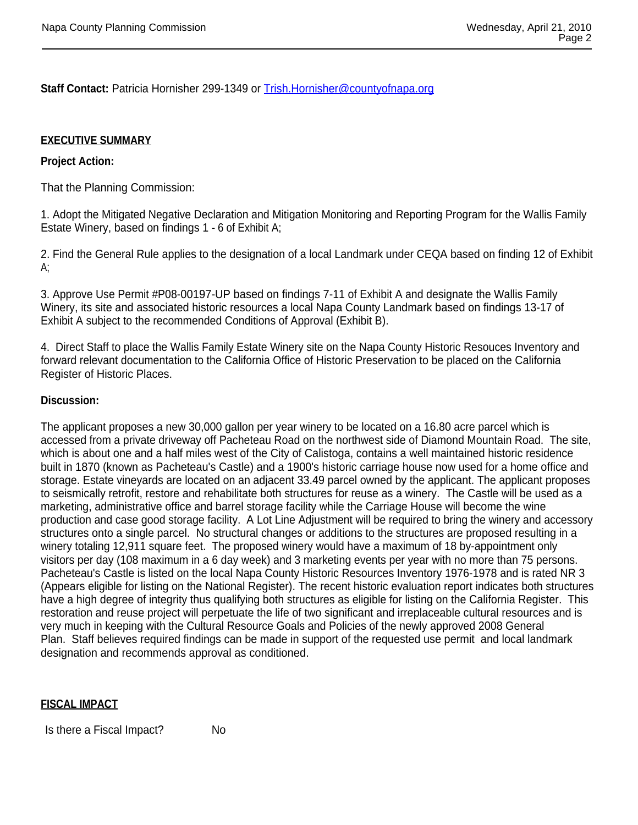**Staff Contact:** Patricia Hornisher 299-1349 or Trish.Hornisher@countyofnapa.org

## **EXECUTIVE SUMMARY**

## **Project Action:**

That the Planning Commission:

1. Adopt the Mitigated Negative Declaration and Mitigation Monitoring and Reporting Program for the Wallis Family Estate Winery, based on findings 1 - 6 of Exhibit A;

2. Find the General Rule applies to the designation of a local Landmark under CEQA based on finding 12 of Exhibit A;

3. Approve Use Permit #P08-00197-UP based on findings 7-11 of Exhibit A and designate the Wallis Family Winery, its site and associated historic resources a local Napa County Landmark based on findings 13-17 of Exhibit A subject to the recommended Conditions of Approval (Exhibit B).

4. Direct Staff to place the Wallis Family Estate Winery site on the Napa County Historic Resouces Inventory and forward relevant documentation to the California Office of Historic Preservation to be placed on the California Register of Historic Places.

### **Discussion:**

The applicant proposes a new 30,000 gallon per year winery to be located on a 16.80 acre parcel which is accessed from a private driveway off Pacheteau Road on the northwest side of Diamond Mountain Road. The site, which is about one and a half miles west of the City of Calistoga, contains a well maintained historic residence built in 1870 (known as Pacheteau's Castle) and a 1900's historic carriage house now used for a home office and storage. Estate vineyards are located on an adjacent 33.49 parcel owned by the applicant. The applicant proposes to seismically retrofit, restore and rehabilitate both structures for reuse as a winery. The Castle will be used as a marketing, administrative office and barrel storage facility while the Carriage House will become the wine production and case good storage facility. A Lot Line Adjustment will be required to bring the winery and accessory structures onto a single parcel. No structural changes or additions to the structures are proposed resulting in a winery totaling 12,911 square feet. The proposed winery would have a maximum of 18 by-appointment only visitors per day (108 maximum in a 6 day week) and 3 marketing events per year with no more than 75 persons. Pacheteau's Castle is listed on the local Napa County Historic Resources Inventory 1976-1978 and is rated NR 3 (Appears eligible for listing on the National Register). The recent historic evaluation report indicates both structures have a high degree of integrity thus qualifying both structures as eligible for listing on the California Register. This restoration and reuse project will perpetuate the life of two significant and irreplaceable cultural resources and is very much in keeping with the Cultural Resource Goals and Policies of the newly approved 2008 General Plan. Staff believes required findings can be made in support of the requested use permit and local landmark designation and recommends approval as conditioned.

#### **FISCAL IMPACT**

Is there a Fiscal Impact? No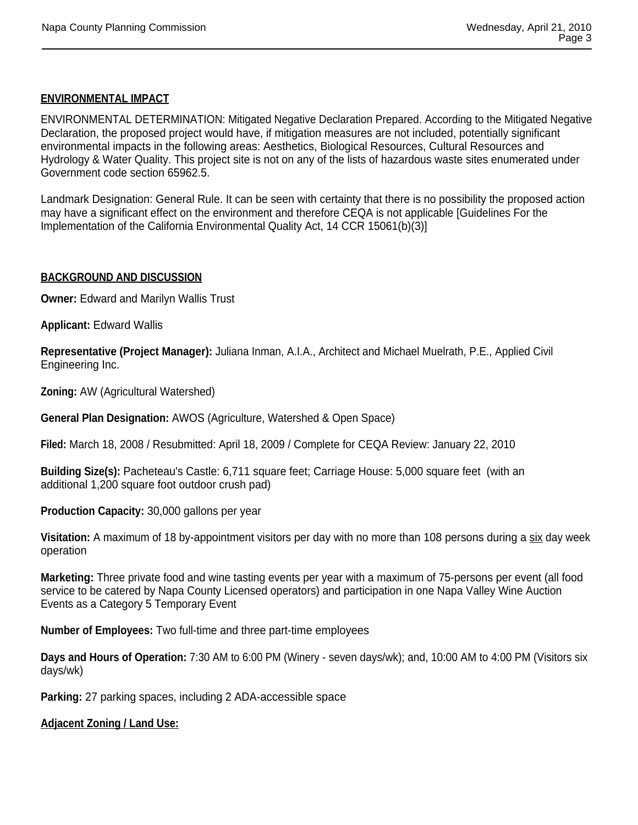# **ENVIRONMENTAL IMPACT**

ENVIRONMENTAL DETERMINATION: Mitigated Negative Declaration Prepared. According to the Mitigated Negative Declaration, the proposed project would have, if mitigation measures are not included, potentially significant environmental impacts in the following areas: Aesthetics, Biological Resources, Cultural Resources and Hydrology & Water Quality. This project site is not on any of the lists of hazardous waste sites enumerated under Government code section 65962.5.

Landmark Designation: General Rule. It can be seen with certainty that there is no possibility the proposed action may have a significant effect on the environment and therefore CEQA is not applicable [Guidelines For the Implementation of the California Environmental Quality Act, 14 CCR 15061(b)(3)]

### **BACKGROUND AND DISCUSSION**

**Owner:** Edward and Marilyn Wallis Trust

**Applicant:** Edward Wallis

**Representative (Project Manager):** Juliana Inman, A.I.A., Architect and Michael Muelrath, P.E., Applied Civil Engineering Inc.

**Zoning:** AW (Agricultural Watershed)

**General Plan Designation:** AWOS (Agriculture, Watershed & Open Space)

**Filed:** March 18, 2008 / Resubmitted: April 18, 2009 / Complete for CEQA Review: January 22, 2010

**Building Size(s):** Pacheteau's Castle: 6,711 square feet; Carriage House: 5,000 square feet (with an additional 1,200 square foot outdoor crush pad)

**Production Capacity:** 30,000 gallons per year

**Visitation:** A maximum of 18 by-appointment visitors per day with no more than 108 persons during a six day week operation

**Marketing:** Three private food and wine tasting events per year with a maximum of 75-persons per event (all food service to be catered by Napa County Licensed operators) and participation in one Napa Valley Wine Auction Events as a Category 5 Temporary Event

**Number of Employees:** Two full-time and three part-time employees

**Days and Hours of Operation:** 7:30 AM to 6:00 PM (Winery - seven days/wk); and, 10:00 AM to 4:00 PM (Visitors six days/wk)

**Parking:** 27 parking spaces, including 2 ADA-accessible space

**Adjacent Zoning / Land Use:**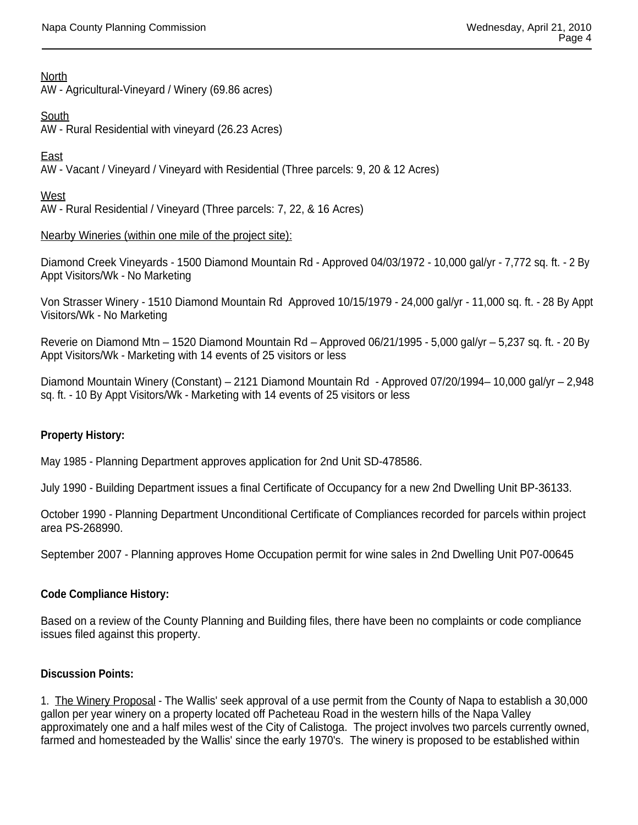**North** 

AW - Agricultural-Vineyard / Winery (69.86 acres)

**South** 

AW - Rural Residential with vineyard (26.23 Acres)

East

AW - Vacant / Vineyard / Vineyard with Residential (Three parcels: 9, 20 & 12 Acres)

West

AW - Rural Residential / Vineyard (Three parcels: 7, 22, & 16 Acres)

Nearby Wineries (within one mile of the project site):

Diamond Creek Vineyards - 1500 Diamond Mountain Rd - Approved 04/03/1972 - 10,000 gal/yr - 7,772 sq. ft. - 2 By Appt Visitors/Wk - No Marketing

Von Strasser Winery - 1510 Diamond Mountain Rd Approved 10/15/1979 - 24,000 gal/yr - 11,000 sq. ft. - 28 By Appt Visitors/Wk - No Marketing

Reverie on Diamond Mtn – 1520 Diamond Mountain Rd – Approved 06/21/1995 - 5,000 gal/yr – 5,237 sq. ft. - 20 By Appt Visitors/Wk - Marketing with 14 events of 25 visitors or less

Diamond Mountain Winery (Constant) – 2121 Diamond Mountain Rd - Approved 07/20/1994– 10,000 gal/yr – 2,948 sq. ft. - 10 By Appt Visitors/Wk - Marketing with 14 events of 25 visitors or less

## **Property History:**

May 1985 - Planning Department approves application for 2nd Unit SD-478586.

July 1990 - Building Department issues a final Certificate of Occupancy for a new 2nd Dwelling Unit BP-36133.

October 1990 - Planning Department Unconditional Certificate of Compliances recorded for parcels within project area PS-268990.

September 2007 - Planning approves Home Occupation permit for wine sales in 2nd Dwelling Unit P07-00645

## **Code Compliance History:**

Based on a review of the County Planning and Building files, there have been no complaints or code compliance issues filed against this property.

## **Discussion Points:**

1. The Winery Proposal - The Wallis' seek approval of a use permit from the County of Napa to establish a 30,000 gallon per year winery on a property located off Pacheteau Road in the western hills of the Napa Valley approximately one and a half miles west of the City of Calistoga. The project involves two parcels currently owned, farmed and homesteaded by the Wallis' since the early 1970's. The winery is proposed to be established within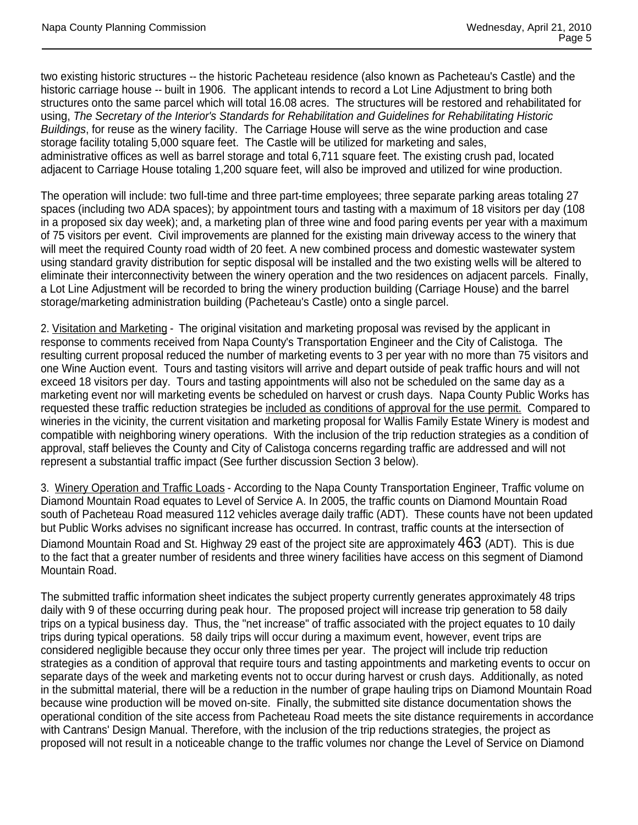two existing historic structures -- the historic Pacheteau residence (also known as Pacheteau's Castle) and the historic carriage house -- built in 1906. The applicant intends to record a Lot Line Adjustment to bring both structures onto the same parcel which will total 16.08 acres. The structures will be restored and rehabilitated for using, *The Secretary of the Interior's Standards for Rehabilitation and Guidelines for Rehabilitating Historic Buildings*, for reuse as the winery facility. The Carriage House will serve as the wine production and case storage facility totaling 5,000 square feet. The Castle will be utilized for marketing and sales, administrative offices as well as barrel storage and total 6,711 square feet. The existing crush pad, located adjacent to Carriage House totaling 1,200 square feet, will also be improved and utilized for wine production.

The operation will include: two full-time and three part-time employees; three separate parking areas totaling 27 spaces (including two ADA spaces); by appointment tours and tasting with a maximum of 18 visitors per day (108 in a proposed six day week); and, a marketing plan of three wine and food paring events per year with a maximum of 75 visitors per event. Civil improvements are planned for the existing main driveway access to the winery that will meet the required County road width of 20 feet. A new combined process and domestic wastewater system using standard gravity distribution for septic disposal will be installed and the two existing wells will be altered to eliminate their interconnectivity between the winery operation and the two residences on adjacent parcels. Finally, a Lot Line Adjustment will be recorded to bring the winery production building (Carriage House) and the barrel storage/marketing administration building (Pacheteau's Castle) onto a single parcel.

2. Visitation and Marketing - The original visitation and marketing proposal was revised by the applicant in response to comments received from Napa County's Transportation Engineer and the City of Calistoga. The resulting current proposal reduced the number of marketing events to 3 per year with no more than 75 visitors and one Wine Auction event. Tours and tasting visitors will arrive and depart outside of peak traffic hours and will not exceed 18 visitors per day. Tours and tasting appointments will also not be scheduled on the same day as a marketing event nor will marketing events be scheduled on harvest or crush days. Napa County Public Works has requested these traffic reduction strategies be included as conditions of approval for the use permit. Compared to wineries in the vicinity, the current visitation and marketing proposal for Wallis Family Estate Winery is modest and compatible with neighboring winery operations. With the inclusion of the trip reduction strategies as a condition of approval, staff believes the County and City of Calistoga concerns regarding traffic are addressed and will not represent a substantial traffic impact (See further discussion Section 3 below).

3. Winery Operation and Traffic Loads - According to the Napa County Transportation Engineer, Traffic volume on Diamond Mountain Road equates to Level of Service A. In 2005, the traffic counts on Diamond Mountain Road south of Pacheteau Road measured 112 vehicles average daily traffic (ADT). These counts have not been updated but Public Works advises no significant increase has occurred. In contrast, traffic counts at the intersection of Diamond Mountain Road and St. Highway 29 east of the project site are approximately 463 (ADT). This is due to the fact that a greater number of residents and three winery facilities have access on this segment of Diamond Mountain Road.

The submitted traffic information sheet indicates the subject property currently generates approximately 48 trips daily with 9 of these occurring during peak hour. The proposed project will increase trip generation to 58 daily trips on a typical business day. Thus, the "net increase" of traffic associated with the project equates to 10 daily trips during typical operations. 58 daily trips will occur during a maximum event, however, event trips are considered negligible because they occur only three times per year. The project will include trip reduction strategies as a condition of approval that require tours and tasting appointments and marketing events to occur on separate days of the week and marketing events not to occur during harvest or crush days. Additionally, as noted in the submittal material, there will be a reduction in the number of grape hauling trips on Diamond Mountain Road because wine production will be moved on-site. Finally, the submitted site distance documentation shows the operational condition of the site access from Pacheteau Road meets the site distance requirements in accordance with Cantrans' Design Manual. Therefore, with the inclusion of the trip reductions strategies, the project as proposed will not result in a noticeable change to the traffic volumes nor change the Level of Service on Diamond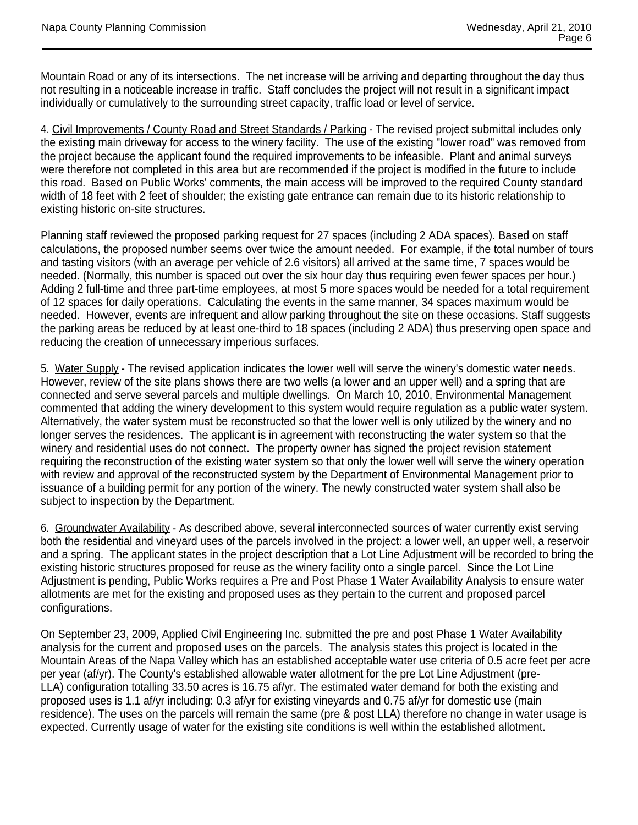Mountain Road or any of its intersections. The net increase will be arriving and departing throughout the day thus not resulting in a noticeable increase in traffic. Staff concludes the project will not result in a significant impact individually or cumulatively to the surrounding street capacity, traffic load or level of service.

4. Civil Improvements / County Road and Street Standards / Parking - The revised project submittal includes only the existing main driveway for access to the winery facility. The use of the existing "lower road" was removed from the project because the applicant found the required improvements to be infeasible. Plant and animal surveys were therefore not completed in this area but are recommended if the project is modified in the future to include this road. Based on Public Works' comments, the main access will be improved to the required County standard width of 18 feet with 2 feet of shoulder; the existing gate entrance can remain due to its historic relationship to existing historic on-site structures.

Planning staff reviewed the proposed parking request for 27 spaces (including 2 ADA spaces). Based on staff calculations, the proposed number seems over twice the amount needed. For example, if the total number of tours and tasting visitors (with an average per vehicle of 2.6 visitors) all arrived at the same time, 7 spaces would be needed. (Normally, this number is spaced out over the six hour day thus requiring even fewer spaces per hour.) Adding 2 full-time and three part-time employees, at most 5 more spaces would be needed for a total requirement of 12 spaces for daily operations. Calculating the events in the same manner, 34 spaces maximum would be needed. However, events are infrequent and allow parking throughout the site on these occasions. Staff suggests the parking areas be reduced by at least one-third to 18 spaces (including 2 ADA) thus preserving open space and reducing the creation of unnecessary imperious surfaces.

5. Water Supply - The revised application indicates the lower well will serve the winery's domestic water needs. However, review of the site plans shows there are two wells (a lower and an upper well) and a spring that are connected and serve several parcels and multiple dwellings. On March 10, 2010, Environmental Management commented that adding the winery development to this system would require regulation as a public water system. Alternatively, the water system must be reconstructed so that the lower well is only utilized by the winery and no longer serves the residences. The applicant is in agreement with reconstructing the water system so that the winery and residential uses do not connect. The property owner has signed the project revision statement requiring the reconstruction of the existing water system so that only the lower well will serve the winery operation with review and approval of the reconstructed system by the Department of Environmental Management prior to issuance of a building permit for any portion of the winery. The newly constructed water system shall also be subject to inspection by the Department.

6. Groundwater Availability - As described above, several interconnected sources of water currently exist serving both the residential and vineyard uses of the parcels involved in the project: a lower well, an upper well, a reservoir and a spring. The applicant states in the project description that a Lot Line Adjustment will be recorded to bring the existing historic structures proposed for reuse as the winery facility onto a single parcel. Since the Lot Line Adjustment is pending, Public Works requires a Pre and Post Phase 1 Water Availability Analysis to ensure water allotments are met for the existing and proposed uses as they pertain to the current and proposed parcel configurations.

On September 23, 2009, Applied Civil Engineering Inc. submitted the pre and post Phase 1 Water Availability analysis for the current and proposed uses on the parcels. The analysis states this project is located in the Mountain Areas of the Napa Valley which has an established acceptable water use criteria of 0.5 acre feet per acre per year (af/yr). The County's established allowable water allotment for the pre Lot Line Adjustment (pre-LLA) configuration totalling 33.50 acres is 16.75 af/yr. The estimated water demand for both the existing and proposed uses is 1.1 af/yr including: 0.3 af/yr for existing vineyards and 0.75 af/yr for domestic use (main residence). The uses on the parcels will remain the same (pre & post LLA) therefore no change in water usage is expected. Currently usage of water for the existing site conditions is well within the established allotment.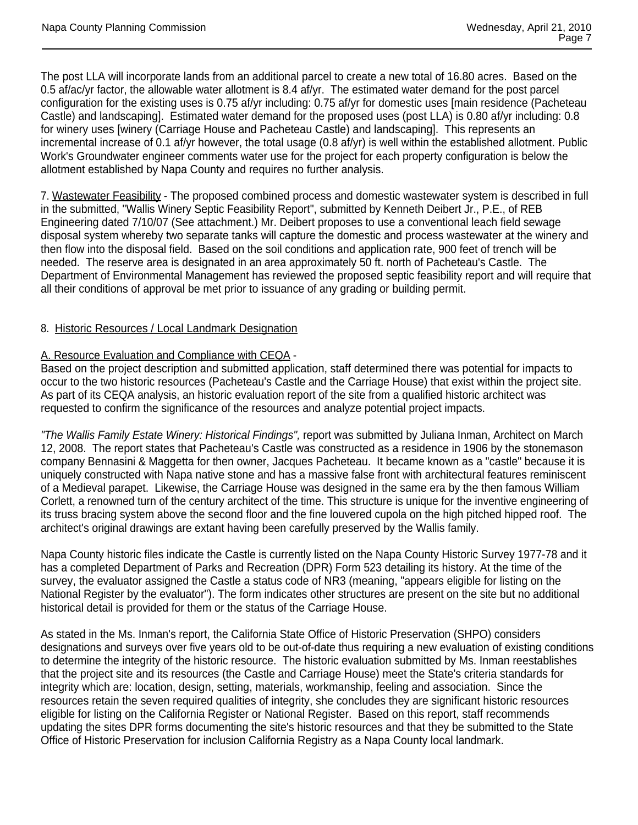The post LLA will incorporate lands from an additional parcel to create a new total of 16.80 acres. Based on the 0.5 af/ac/yr factor, the allowable water allotment is 8.4 af/yr. The estimated water demand for the post parcel configuration for the existing uses is 0.75 af/yr including: 0.75 af/yr for domestic uses [main residence (Pacheteau Castle) and landscaping]. Estimated water demand for the proposed uses (post LLA) is 0.80 af/yr including: 0.8 for winery uses [winery (Carriage House and Pacheteau Castle) and landscaping]. This represents an incremental increase of 0.1 af/yr however, the total usage (0.8 af/yr) is well within the established allotment. Public Work's Groundwater engineer comments water use for the project for each property configuration is below the allotment established by Napa County and requires no further analysis.

7. Wastewater Feasibility - The proposed combined process and domestic wastewater system is described in full in the submitted, "Wallis Winery Septic Feasibility Report", submitted by Kenneth Deibert Jr., P.E., of REB Engineering dated 7/10/07 (See attachment.) Mr. Deibert proposes to use a conventional leach field sewage disposal system whereby two separate tanks will capture the domestic and process wastewater at the winery and then flow into the disposal field. Based on the soil conditions and application rate, 900 feet of trench will be needed. The reserve area is designated in an area approximately 50 ft. north of Pacheteau's Castle. The Department of Environmental Management has reviewed the proposed septic feasibility report and will require that all their conditions of approval be met prior to issuance of any grading or building permit.

## 8. Historic Resources / Local Landmark Designation

# A. Resource Evaluation and Compliance with CEQA -

Based on the project description and submitted application, staff determined there was potential for impacts to occur to the two historic resources (Pacheteau's Castle and the Carriage House) that exist within the project site. As part of its CEQA analysis, an historic evaluation report of the site from a qualified historic architect was requested to confirm the significance of the resources and analyze potential project impacts.

*"The Wallis Family Estate Winery: Historical Findings",* report was submitted by Juliana Inman, Architect on March 12, 2008. The report states that Pacheteau's Castle was constructed as a residence in 1906 by the stonemason company Bennasini & Maggetta for then owner, Jacques Pacheteau. It became known as a "castle" because it is uniquely constructed with Napa native stone and has a massive false front with architectural features reminiscent of a Medieval parapet. Likewise, the Carriage House was designed in the same era by the then famous William Corlett, a renowned turn of the century architect of the time. This structure is unique for the inventive engineering of its truss bracing system above the second floor and the fine louvered cupola on the high pitched hipped roof. The architect's original drawings are extant having been carefully preserved by the Wallis family.

Napa County historic files indicate the Castle is currently listed on the Napa County Historic Survey 1977-78 and it has a completed Department of Parks and Recreation (DPR) Form 523 detailing its history. At the time of the survey, the evaluator assigned the Castle a status code of NR3 (meaning, "appears eligible for listing on the National Register by the evaluator"). The form indicates other structures are present on the site but no additional historical detail is provided for them or the status of the Carriage House.

As stated in the Ms. Inman's report, the California State Office of Historic Preservation (SHPO) considers designations and surveys over five years old to be out-of-date thus requiring a new evaluation of existing conditions to determine the integrity of the historic resource. The historic evaluation submitted by Ms. Inman reestablishes that the project site and its resources (the Castle and Carriage House) meet the State's criteria standards for integrity which are: location, design, setting, materials, workmanship, feeling and association. Since the resources retain the seven required qualities of integrity, she concludes they are significant historic resources eligible for listing on the California Register or National Register. Based on this report, staff recommends updating the sites DPR forms documenting the site's historic resources and that they be submitted to the State Office of Historic Preservation for inclusion California Registry as a Napa County local landmark.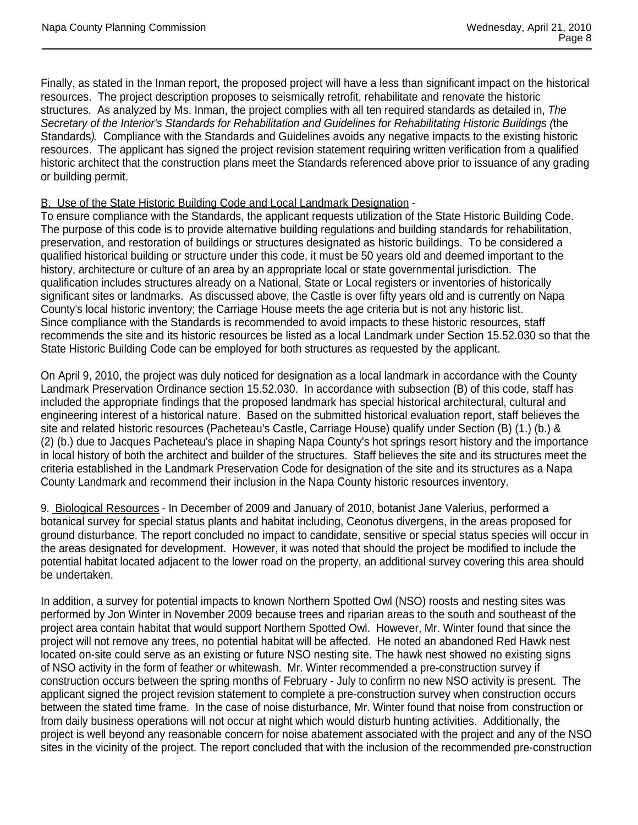Finally, as stated in the Inman report, the proposed project will have a less than significant impact on the historical resources. The project description proposes to seismically retrofit, rehabilitate and renovate the historic structures. As analyzed by Ms. Inman, the project complies with all ten required standards as detailed in, *The Secretary of the Interior's Standards for Rehabilitation and Guidelines for Rehabilitating Historic Buildings (*the Standards*).* Compliance with the Standards and Guidelines avoids any negative impacts to the existing historic resources. The applicant has signed the project revision statement requiring written verification from a qualified historic architect that the construction plans meet the Standards referenced above prior to issuance of any grading or building permit.

## B. Use of the State Historic Building Code and Local Landmark Designation -

To ensure compliance with the Standards, the applicant requests utilization of the State Historic Building Code. The purpose of this code is to provide alternative building regulations and building standards for rehabilitation, preservation, and restoration of buildings or structures designated as historic buildings. To be considered a qualified historical building or structure under this code, it must be 50 years old and deemed important to the history, architecture or culture of an area by an appropriate local or state governmental jurisdiction. The qualification includes structures already on a National, State or Local registers or inventories of historically significant sites or landmarks. As discussed above, the Castle is over fifty years old and is currently on Napa County's local historic inventory; the Carriage House meets the age criteria but is not any historic list. Since compliance with the Standards is recommended to avoid impacts to these historic resources, staff recommends the site and its historic resources be listed as a local Landmark under Section 15.52.030 so that the State Historic Building Code can be employed for both structures as requested by the applicant.

On April 9, 2010, the project was duly noticed for designation as a local landmark in accordance with the County Landmark Preservation Ordinance section 15.52.030. In accordance with subsection (B) of this code, staff has included the appropriate findings that the proposed landmark has special historical architectural, cultural and engineering interest of a historical nature. Based on the submitted historical evaluation report, staff believes the site and related historic resources (Pacheteau's Castle, Carriage House) qualify under Section (B) (1.) (b.) & (2) (b.) due to Jacques Pacheteau's place in shaping Napa County's hot springs resort history and the importance in local history of both the architect and builder of the structures. Staff believes the site and its structures meet the criteria established in the Landmark Preservation Code for designation of the site and its structures as a Napa County Landmark and recommend their inclusion in the Napa County historic resources inventory.

9. Biological Resources - In December of 2009 and January of 2010, botanist Jane Valerius, performed a botanical survey for special status plants and habitat including, Ceonotus divergens, in the areas proposed for ground disturbance. The report concluded no impact to candidate, sensitive or special status species will occur in the areas designated for development. However, it was noted that should the project be modified to include the potential habitat located adjacent to the lower road on the property, an additional survey covering this area should be undertaken.

In addition, a survey for potential impacts to known Northern Spotted Owl (NSO) roosts and nesting sites was performed by Jon Winter in November 2009 because trees and riparian areas to the south and southeast of the project area contain habitat that would support Northern Spotted Owl. However, Mr. Winter found that since the project will not remove any trees, no potential habitat will be affected. He noted an abandoned Red Hawk nest located on-site could serve as an existing or future NSO nesting site. The hawk nest showed no existing signs of NSO activity in the form of feather or whitewash. Mr. Winter recommended a pre-construction survey if construction occurs between the spring months of February - July to confirm no new NSO activity is present. The applicant signed the project revision statement to complete a pre-construction survey when construction occurs between the stated time frame. In the case of noise disturbance, Mr. Winter found that noise from construction or from daily business operations will not occur at night which would disturb hunting activities. Additionally, the project is well beyond any reasonable concern for noise abatement associated with the project and any of the NSO sites in the vicinity of the project. The report concluded that with the inclusion of the recommended pre-construction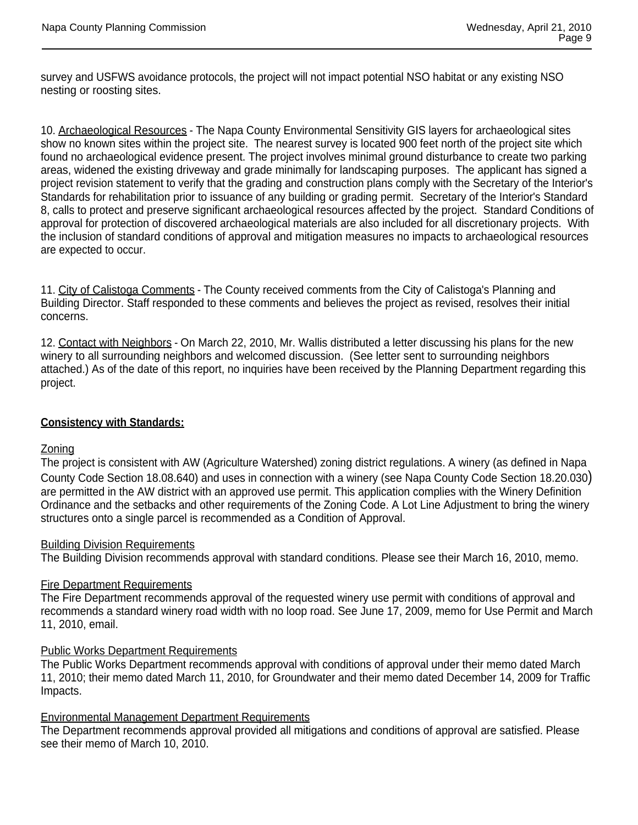survey and USFWS avoidance protocols, the project will not impact potential NSO habitat or any existing NSO nesting or roosting sites.

10. Archaeological Resources - The Napa County Environmental Sensitivity GIS layers for archaeological sites show no known sites within the project site. The nearest survey is located 900 feet north of the project site which found no archaeological evidence present. The project involves minimal ground disturbance to create two parking areas, widened the existing driveway and grade minimally for landscaping purposes. The applicant has signed a project revision statement to verify that the grading and construction plans comply with the Secretary of the Interior's Standards for rehabilitation prior to issuance of any building or grading permit. Secretary of the Interior's Standard 8, calls to protect and preserve significant archaeological resources affected by the project. Standard Conditions of approval for protection of discovered archaeological materials are also included for all discretionary projects. With the inclusion of standard conditions of approval and mitigation measures no impacts to archaeological resources are expected to occur.

11. City of Calistoga Comments - The County received comments from the City of Calistoga's Planning and Building Director. Staff responded to these comments and believes the project as revised, resolves their initial concerns.

12. Contact with Neighbors - On March 22, 2010, Mr. Wallis distributed a letter discussing his plans for the new winery to all surrounding neighbors and welcomed discussion. (See letter sent to surrounding neighbors attached.) As of the date of this report, no inquiries have been received by the Planning Department regarding this project.

## **Consistency with Standards:**

## Zoning

The project is consistent with AW (Agriculture Watershed) zoning district regulations. A winery (as defined in Napa County Code Section 18.08.640) and uses in connection with a winery (see Napa County Code Section 18.20.030) are permitted in the AW district with an approved use permit. This application complies with the Winery Definition Ordinance and the setbacks and other requirements of the Zoning Code. A Lot Line Adjustment to bring the winery structures onto a single parcel is recommended as a Condition of Approval.

## Building Division Requirements

The Building Division recommends approval with standard conditions. Please see their March 16, 2010, memo.

## Fire Department Requirements

The Fire Department recommends approval of the requested winery use permit with conditions of approval and recommends a standard winery road width with no loop road. See June 17, 2009, memo for Use Permit and March 11, 2010, email.

## Public Works Department Requirements

The Public Works Department recommends approval with conditions of approval under their memo dated March 11, 2010; their memo dated March 11, 2010, for Groundwater and their memo dated December 14, 2009 for Traffic Impacts.

## Environmental Management Department Requirements

The Department recommends approval provided all mitigations and conditions of approval are satisfied. Please see their memo of March 10, 2010.